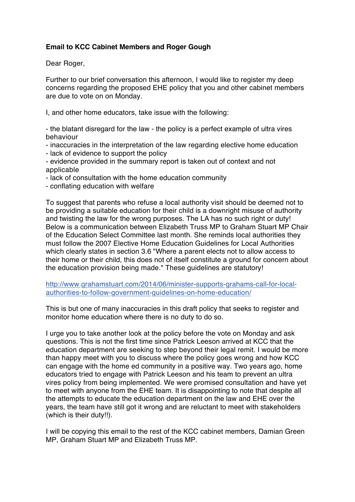## **Email to KCC Cabinet Members and Roger Gough**

Dear Roger,

Further to our brief conversation this afternoon, I would like to register my deep concerns regarding the proposed EHE policy that you and other cabinet members are due to vote on on Monday.

I, and other home educators, take issue with the following:

- the blatant disregard for the law - the policy is a perfect example of ultra vires behaviour

- inaccuracies in the interpretation of the law regarding elective home education
- lack of evidence to support the policy
- evidence provided in the summary report is taken out of context and not applicable
- lack of consultation with the home education community
- conflating education with welfare

To suggest that parents who refuse a local authority visit should be deemed not to be providing a suitable education for their child is a downright misuse of authority and twisting the law for the wrong purposes. The LA has no such right or duty! Below is a communication between Elizabeth Truss MP to Graham Stuart MP Chair of the Education Select Committee last month. She reminds local authorities they must follow the 2007 Elective Home Education Guidelines for Local Authorities which clearly states in section 3.6 "Where a parent elects not to allow access to their home or their child, this does not of itself constitute a ground for concern about the education provision being made." These guidelines are statutory!

[http://www.grahamstuart.com/2014/06/minister-supports-grahams-call-for-local](http://www.grahamstuart.com/2014/06/minister-supports-grahams-call-for-local-authorities-to-follow-government-guidelines-on-home-education/)[authorities-to-follow-government-guidelines-on-home-education/](http://www.grahamstuart.com/2014/06/minister-supports-grahams-call-for-local-authorities-to-follow-government-guidelines-on-home-education/)

This is but one of many inaccuracies in this draft policy that seeks to register and monitor home education where there is no duty to do so.

I urge you to take another look at the policy before the vote on Monday and ask questions. This is not the first time since Patrick Leeson arrived at KCC that the education department are seeking to step beyond their legal remit. I would be more than happy meet with you to discuss where the policy goes wrong and how KCC can engage with the home ed community in a positive way. Two years ago, home educators tried to engage with Patrick Leeson and his team to prevent an ultra vires policy from being implemented. We were promised consultation and have yet to meet with anyone from the EHE team. It is disappointing to note that despite all the attempts to educate the education department on the law and EHE over the years, the team have still got it wrong and are reluctant to meet with stakeholders (which is their duty!!).

I will be copying this email to the rest of the KCC cabinet members, Damian Green MP, Graham Stuart MP and Elizabeth Truss MP.